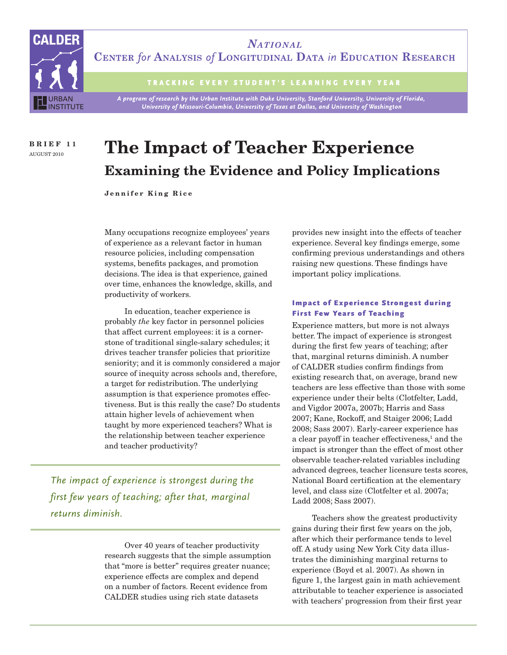

**NATIONAL** CENTER for ANALYSIS of LONGITUDINAL DATA in EDUCATION RESEARCH

TRACKING EVERY STUDENT'S LEARNING EVERY YEAR

A program of research by the Urban Institute with Duke University, Stanford University, University of Florida, University of Missouri-Columbia, University of Texas at Dallas, and University of Washington

**BRIEF 11** AUGUST 2010

# **The Impact of Teacher Experience Examining the Evidence and Policy Implications**

**Jennifer King Rice**

Many occupations recognize employees' years of experience as a relevant factor in human resource policies, including compensation systems, benefits packages, and promotion decisions. The idea is that experience, gained over time, enhances the knowledge, skills, and productivity of workers.

In education, teacher experience is probably *the* key factor in personnel policies that affect current employees: it is a cornerstone of traditional single-salary schedules; it drives teacher transfer policies that prioritize seniority; and it is commonly considered a major source of inequity across schools and, therefore, a target for redistribution. The underlying assumption is that experience promotes effectiveness. But is this really the case? Do students attain higher levels of achievement when taught by more experienced teachers? What is the relationship between teacher experience and teacher productivity?

*The impact of experience is strongest during the first few years of teaching; after that, marginal returns diminish.* 

> Over 40 years of teacher productivity research suggests that the simple assumption that "more is better" requires greater nuance; experience effects are complex and depend on a number of factors. Recent evidence from CALDER studies using rich state datasets

provides new insight into the effects of teacher experience. Several key findings emerge, some confirming previous understandings and others raising new questions. These findings have important policy implications.

### Impact of Experience Strongest during First Few Years of Teaching

Experience matters, but more is not always better. The impact of experience is strongest during the first few years of teaching; after that, marginal returns diminish. A number of CALDER studies confirm findings from existing research that, on average, brand new teachers are less effective than those with some experience under their belts (Clotfelter, Ladd, and Vigdor 2007a, 2007b; Harris and Sass 2007; Kane, Rockoff, and Staiger 2006; Ladd 2008; Sass 2007). Early-career experience has a clear payoff in teacher effectiveness,<sup>1</sup> and the impact is stronger than the effect of most other observable teacher-related variables including advanced degrees, teacher licensure tests scores, National Board certification at the elementary level, and class size (Clotfelter et al. 2007a; Ladd 2008; Sass 2007).

Teachers show the greatest productivity gains during their first few years on the job, after which their performance tends to level off. A study using New York City data illustrates the diminishing marginal returns to experience (Boyd et al. 2007). As shown in figure 1, the largest gain in math achievement attributable to teacher experience is associated with teachers' progression from their first year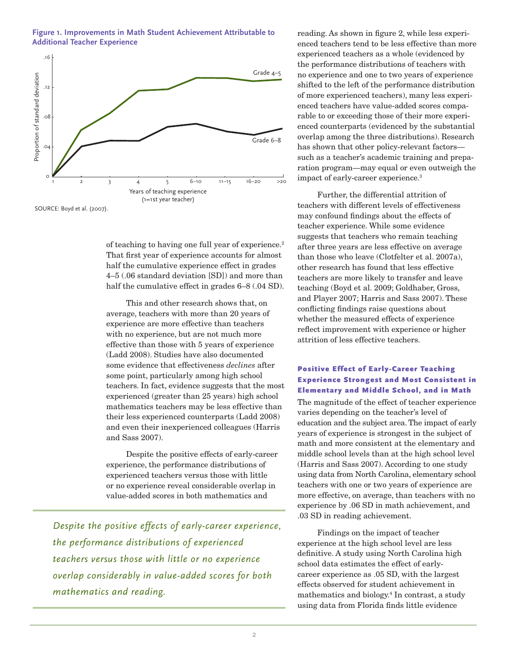**Figure 1. Improvements in Math Student Achievement Attributable to Additional Teacher Experience**



SOURCE: Boyd et al. (2007).

of teaching to having one full year of experience.2 That first year of experience accounts for almost half the cumulative experience effect in grades 4–5 (.06 standard deviation [SD]) and more than half the cumulative effect in grades 6–8 (.04 SD).

This and other research shows that, on average, teachers with more than 20 years of experience are more effective than teachers with no experience, but are not much more effective than those with 5 years of experience (Ladd 2008). Studies have also documented some evidence that effectiveness *declines* after some point, particularly among high school teachers. In fact, evidence suggests that the most experienced (greater than 25 years) high school mathematics teachers may be less effective than their less experienced counterparts (Ladd 2008) and even their inexperienced colleagues (Harris and Sass 2007).

Despite the positive effects of early-career experience, the performance distributions of experienced teachers versus those with little or no experience reveal considerable overlap in value-added scores in both mathematics and

*Despite the positive effects of early-career experience, the performance distributions of experienced teachers versus those with little or no experience overlap considerably in value-added scores for both mathematics and reading.* 

reading. As shown in figure 2, while less experienced teachers tend to be less effective than more experienced teachers as a whole (evidenced by the performance distributions of teachers with no experience and one to two years of experience shifted to the left of the performance distribution of more experienced teachers), many less experienced teachers have value-added scores comparable to or exceeding those of their more experienced counterparts (evidenced by the substantial overlap among the three distributions). Research has shown that other policy-relevant factors such as a teacher's academic training and preparation program—may equal or even outweigh the impact of early-career experience.3

Further, the differential attrition of teachers with different levels of effectiveness may confound findings about the effects of teacher experience. While some evidence suggests that teachers who remain teaching after three years are less effective on average than those who leave (Clotfelter et al. 2007a), other research has found that less effective teachers are more likely to transfer and leave teaching (Boyd et al. 2009; Goldhaber, Gross, and Player 2007; Harris and Sass 2007). These conflicting findings raise questions about whether the measured effects of experience reflect improvement with experience or higher attrition of less effective teachers.

### Positive Effect of Early-Career Teaching Experience Strongest and Most Consistent in Elementary and Middle School, and in Math

The magnitude of the effect of teacher experience varies depending on the teacher's level of education and the subject area. The impact of early years of experience is strongest in the subject of math and more consistent at the elementary and middle school levels than at the high school level (Harris and Sass 2007). According to one study using data from North Carolina, elementary school teachers with one or two years of experience are more effective, on average, than teachers with no experience by .06 SD in math achievement, and .03 SD in reading achievement.

Findings on the impact of teacher experience at the high school level are less definitive. A study using North Carolina high school data estimates the effect of earlycareer experience as .05 SD, with the largest effects observed for student achievement in mathematics and biology.4 In contrast, a study using data from Florida finds little evidence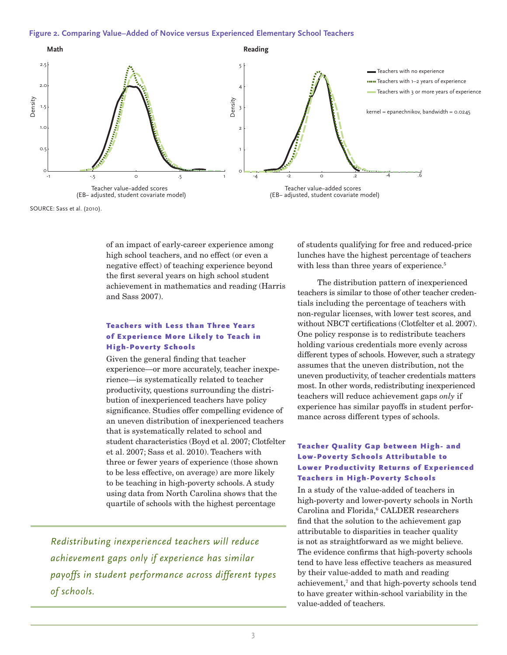#### **Figure 2. Comparing Value−Added of Novice versus Experienced Elementary School Teachers**



SOURCE: Sass et al. (2010).

of an impact of early-career experience among high school teachers, and no effect (or even a negative effect) of teaching experience beyond the first several years on high school student achievement in mathematics and reading (Harris and Sass 2007).

## Teachers with Less than Three Years of Experience More Likely to Teach in High-Poverty Schools

Given the general finding that teacher experience—or more accurately, teacher inexperience—is systematically related to teacher productivity, questions surrounding the distribution of inexperienced teachers have policy significance. Studies offer compelling evidence of an uneven distribution of inexperienced teachers that is systematically related to school and student characteristics (Boyd et al. 2007; Clotfelter et al. 2007; Sass et al. 2010). Teachers with three or fewer years of experience (those shown to be less effective, on average) are more likely to be teaching in high-poverty schools. A study using data from North Carolina shows that the quartile of schools with the highest percentage

*Redistributing inexperienced teachers will reduce achievement gaps only if experience has similar payoffs in student performance across different types of schools.*

of students qualifying for free and reduced-price lunches have the highest percentage of teachers with less than three years of experience.<sup>5</sup>

The distribution pattern of inexperienced teachers is similar to those of other teacher credentials including the percentage of teachers with non-regular licenses, with lower test scores, and without NBCT certifications (Clotfelter et al. 2007). One policy response is to redistribute teachers holding various credentials more evenly across different types of schools. However, such a strategy assumes that the uneven distribution, not the uneven productivity, of teacher credentials matters most. In other words, redistributing inexperienced teachers will reduce achievement gaps *only* if experience has similar payoffs in student performance across different types of schools.

## Teacher Quality Gap between High- and Low-Poverty Schools Attributable to Lower Productivity Returns of Experienced Teachers in High-Poverty Schools

In a study of the value-added of teachers in high-poverty and lower-poverty schools in North Carolina and Florida,<sup>6</sup> CALDER researchers find that the solution to the achievement gap attributable to disparities in teacher quality is not as straightforward as we might believe. The evidence confirms that high-poverty schools tend to have less effective teachers as measured by their value-added to math and reading achievement,<sup>7</sup> and that high-poverty schools tend to have greater within-school variability in the value-added of teachers.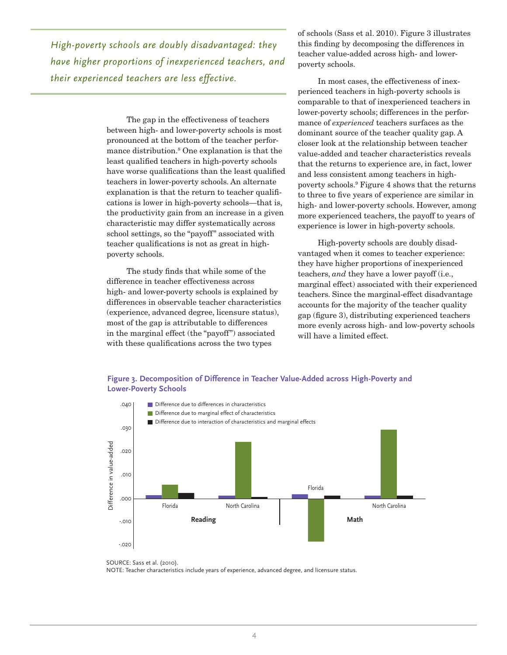*High-poverty schools are doubly disadvantaged: they have higher proportions of inexperienced teachers, and their experienced teachers are less effective.*

> The gap in the effectiveness of teachers between high- and lower-poverty schools is most pronounced at the bottom of the teacher performance distribution.8 One explanation is that the least qualified teachers in high-poverty schools have worse qualifications than the least qualified teachers in lower-poverty schools. An alternate explanation is that the return to teacher qualifications is lower in high-poverty schools—that is, the productivity gain from an increase in a given characteristic may differ systematically across school settings, so the "payoff" associated with teacher qualifications is not as great in highpoverty schools.

The study finds that while some of the difference in teacher effectiveness across high- and lower-poverty schools is explained by differences in observable teacher characteristics (experience, advanced degree, licensure status), most of the gap is attributable to differences in the marginal effect (the "payoff") associated with these qualifications across the two types

of schools (Sass et al. 2010). Figure 3 illustrates this finding by decomposing the differences in teacher value-added across high- and lowerpoverty schools.

In most cases, the effectiveness of inexperienced teachers in high-poverty schools is comparable to that of inexperienced teachers in lower-poverty schools; differences in the performance of *experienced* teachers surfaces as the dominant source of the teacher quality gap. A closer look at the relationship between teacher value-added and teacher characteristics reveals that the returns to experience are, in fact, lower and less consistent among teachers in highpoverty schools.9 Figure 4 shows that the returns to three to five years of experience are similar in high- and lower-poverty schools. However, among more experienced teachers, the payoff to years of experience is lower in high-poverty schools.

High-poverty schools are doubly disadvantaged when it comes to teacher experience: they have higher proportions of inexperienced teachers, *and* they have a lower payoff (i.e., marginal effect) associated with their experienced teachers. Since the marginal-effect disadvantage accounts for the majority of the teacher quality gap (figure 3), distributing experienced teachers more evenly across high- and low-poverty schools will have a limited effect.





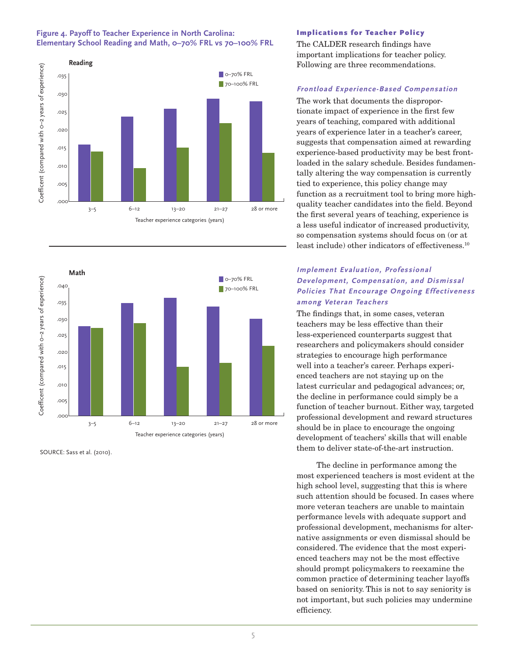





SOURCE: Sass et al. (2010).

#### Implications for Teacher Policy

The CALDER research findings have important implications for teacher policy. Following are three recommendations.

#### **Frontload Experience-Based Compensation**

The work that documents the disproportionate impact of experience in the first few years of teaching, compared with additional years of experience later in a teacher's career, suggests that compensation aimed at rewarding experience-based productivity may be best frontloaded in the salary schedule. Besides fundamentally altering the way compensation is currently tied to experience, this policy change may function as a recruitment tool to bring more highquality teacher candidates into the field. Beyond the first several years of teaching, experience is a less useful indicator of increased productivity, so compensation systems should focus on (or at least include) other indicators of effectiveness.10

## **Implement Evaluation, Professional Development, Compensation, and Dismissal Policies That Encourage Ongoing Effectiveness among Veteran Teachers**

The findings that, in some cases, veteran teachers may be less effective than their less-experienced counterparts suggest that researchers and policymakers should consider strategies to encourage high performance well into a teacher's career. Perhaps experienced teachers are not staying up on the latest curricular and pedagogical advances; or, the decline in performance could simply be a function of teacher burnout. Either way, targeted professional development and reward structures should be in place to encourage the ongoing development of teachers' skills that will enable them to deliver state-of-the-art instruction.

The decline in performance among the most experienced teachers is most evident at the high school level, suggesting that this is where such attention should be focused. In cases where more veteran teachers are unable to maintain performance levels with adequate support and professional development, mechanisms for alternative assignments or even dismissal should be considered. The evidence that the most experienced teachers may not be the most effective should prompt policymakers to reexamine the common practice of determining teacher layoffs based on seniority. This is not to say seniority is not important, but such policies may undermine efficiency.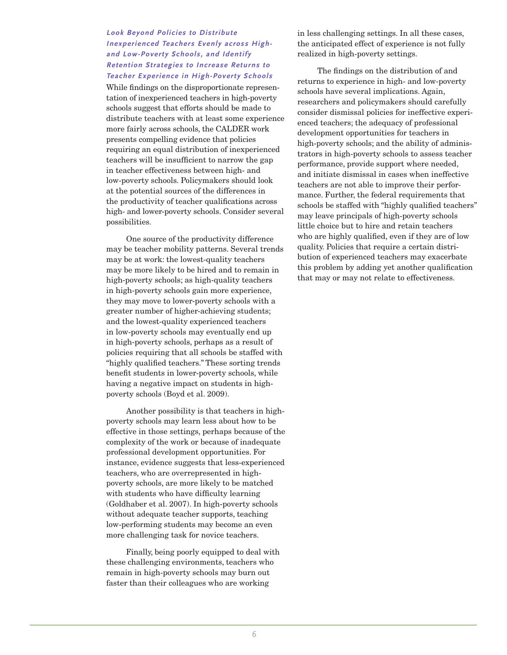## **Look Beyond Policies to Distribute Inexperienced Teachers Evenly across Highand Low-Poverty Schools, and Identify Retention Strategies to Increase Returns to Teacher Experience in High-Poverty Schools**

While findings on the disproportionate representation of inexperienced teachers in high-poverty schools suggest that efforts should be made to distribute teachers with at least some experience more fairly across schools, the CALDER work presents compelling evidence that policies requiring an equal distribution of inexperienced teachers will be insufficient to narrow the gap in teacher effectiveness between high- and low-poverty schools. Policymakers should look at the potential sources of the differences in the productivity of teacher qualifications across high- and lower-poverty schools. Consider several possibilities.

One source of the productivity difference may be teacher mobility patterns. Several trends may be at work: the lowest-quality teachers may be more likely to be hired and to remain in high-poverty schools; as high-quality teachers in high-poverty schools gain more experience, they may move to lower-poverty schools with a greater number of higher-achieving students; and the lowest-quality experienced teachers in low-poverty schools may eventually end up in high-poverty schools, perhaps as a result of policies requiring that all schools be staffed with "highly qualified teachers." These sorting trends benefit students in lower-poverty schools, while having a negative impact on students in highpoverty schools (Boyd et al. 2009).

Another possibility is that teachers in highpoverty schools may learn less about how to be effective in those settings, perhaps because of the complexity of the work or because of inadequate professional development opportunities. For instance, evidence suggests that less-experienced teachers, who are overrepresented in highpoverty schools, are more likely to be matched with students who have difficulty learning (Goldhaber et al. 2007). In high-poverty schools without adequate teacher supports, teaching low-performing students may become an even more challenging task for novice teachers.

Finally, being poorly equipped to deal with these challenging environments, teachers who remain in high-poverty schools may burn out faster than their colleagues who are working

in less challenging settings. In all these cases, the anticipated effect of experience is not fully realized in high-poverty settings.

The findings on the distribution of and returns to experience in high- and low-poverty schools have several implications. Again, researchers and policymakers should carefully consider dismissal policies for ineffective experienced teachers; the adequacy of professional development opportunities for teachers in high-poverty schools; and the ability of administrators in high-poverty schools to assess teacher performance, provide support where needed, and initiate dismissal in cases when ineffective teachers are not able to improve their performance. Further, the federal requirements that schools be staffed with "highly qualified teachers" may leave principals of high-poverty schools little choice but to hire and retain teachers who are highly qualified, even if they are of low quality. Policies that require a certain distribution of experienced teachers may exacerbate this problem by adding yet another qualification that may or may not relate to effectiveness.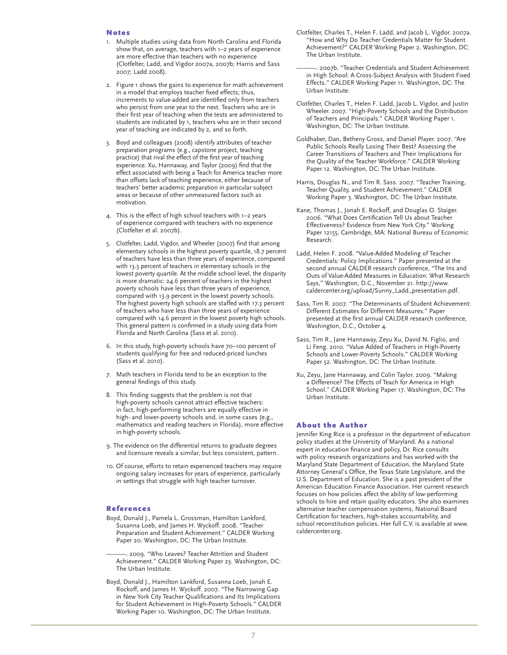#### Notes

- 1. Multiple studies using data from North Carolina and Florida show that, on average, teachers with 1–2 years of experience are more effective than teachers with no experience (Clotfelter, Ladd, and Vigdor 2007a, 2007b; Harris and Sass 2007; Ladd 2008).
- 2. Figure 1 shows the gains to experience for math achievement in a model that employs teacher fixed effects; thus, increments to value-added are identified only from teachers who persist from one year to the next. Teachers who are in their first year of teaching when the tests are administered to students are indicated by 1, teachers who are in their second year of teaching are indicated by 2, and so forth.
- 3. Boyd and colleagues (2008) identify attributes of teacher preparation programs (e.g., capstone project, teaching practice) that rival the effect of the first year of teaching experience. Xu, Hannaway, and Taylor (2009) find that the effect associated with being a Teach for America teacher more than offsets lack of teaching experience, either because of teachers' better academic preparation in particular subject areas or because of other unmeasured factors such as motivation.
- 4. This is the effect of high school teachers with 1–2 years of experience compared with teachers with no experience (Clotfelter et al. 2007b).
- 5. Clotfelter, Ladd, Vigdor, and Wheeler (2007) find that among elementary schools in the highest poverty quartile, 18.7 percent of teachers have less than three years of experience, compared with 13.3 percent of teachers in elementary schools in the lowest poverty quartile. At the middle school level, the disparity is more dramatic: 24.6 percent of teachers in the highest poverty schools have less than three years of experience, compared with 13.9 percent in the lowest poverty schools. The highest poverty high schools are staffed with 17.3 percent of teachers who have less than three years of experience compared with 14.6 percent in the lowest poverty high schools. This general pattern is confirmed in a study using data from Florida and North Carolina (Sass et al. 2010).
- 6. In this study, high-poverty schools have 70–100 percent of students qualifying for free and reduced-priced lunches (Sass et al. 2010).
- 7. Math teachers in Florida tend to be an exception to the general findings of this study.
- 8. This finding suggests that the problem is not that high-poverty schools cannot attract effective teachers: in fact, high-performing teachers are equally effective in high- and lower-poverty schools and, in some cases (e.g., mathematics and reading teachers in Florida), more effective in high-poverty schools.
- 9. The evidence on the differential returns to graduate degrees and licensure reveals a similar, but less consistent, pattern.
- 10. Of course, efforts to retain experienced teachers may require ongoing salary increases for years of experience, particularly in settings that struggle with high teacher turnover.

#### References

Boyd, Donald J., Pamela L. Grossman, Hamilton Lankford, Susanna Loeb, and James H. Wyckoff. 2008. "Teacher Preparation and Student Achievement." CALDER Working Paper 20. Washington, DC: The Urban Institute.

. 2009. "Who Leaves? Teacher Attrition and Student Achievement." CALDER Working Paper 23. Washington, DC: The Urban Institute.

Boyd, Donald J., Hamilton Lankford, Susanna Loeb, Jonah E. Rockoff, and James H. Wyckoff. 2007. "The Narrowing Gap in New York City Teacher Qualifications and Its Implications for Student Achievement in High-Poverty Schools." CALDER Working Paper 10. Washington, DC: The Urban Institute.

- Clotfelter, Charles T., Helen F. Ladd, and Jacob L. Vigdor. 2007a. "How and Why Do Teacher Credentials Matter for Student Achievement?" CALDER Working Paper 2. Washington, DC: The Urban Institute.
- ———. 2007b. "Teacher Credentials and Student Achievement in High School: A Cross-Subject Analysis with Student Fixed Effects." CALDER Working Paper 11. Washington, DC: The Urban Institute.
- Clotfelter, Charles T., Helen F. Ladd, Jacob L. Vigdor, and Justin Wheeler. 2007. "High-Poverty Schools and the Distribution of Teachers and Principals." CALDER Working Paper 1. Washington, DC: The Urban Institute.
- Goldhaber, Dan, Betheny Gross, and Daniel Player. 2007. "Are Public Schools Really Losing Their Best? Assessing the Career Transitions of Teachers and Their Implications for the Quality of the Teacher Workforce." CALDER Working Paper 12. Washington, DC: The Urban Institute.
- Harris, Douglas N., and Tim R. Sass. 2007. "Teacher Training, Teacher Quality, and Student Achievement." CALDER Working Paper 3. Washington, DC: The Urban Institute.
- Kane, Thomas J., Jonah E. Rockoff, and Douglas O. Staiger. 2006. "What Does Certification Tell Us about Teacher Effectiveness? Evidence from New York City." Working Paper 12155. Cambridge, MA: National Bureau of Economic Research.
- Ladd, Helen F. 2008. "Value-Added Modeling of Teacher Credentials: Policy Implications." Paper presented at the second annual CALDER research conference, "The Ins and Outs of Value-Added Measures in Education: What Research Says," Washington, D.C., November 21. http://www. caldercenter.org/upload/Sunny\_Ladd\_presentation.pdf.
- Sass, Tim R. 2007. "The Determinants of Student Achievement: Different Estimates for Different Measures." Paper presented at the first annual CALDER research conference, Washington, D.C., October 4.
- Sass, Tim R., Jane Hannaway, Zeyu Xu, David N. Figlio, and Li Feng. 2010. "Value Added of Teachers in High-Poverty Schools and Lower-Poverty Schools." CALDER Working Paper 52. Washington, DC: The Urban Institute.
- Xu, Zeyu, Jane Hannaway, and Colin Taylor. 2009. "Making a Difference? The Effects of Teach for America in High School." CALDER Working Paper 17. Washington, DC: The Urban Institute.

#### About the Author

Jennifer King Rice is a professor in the department of education policy studies at the University of Maryland. As a national expert in education finance and policy, Dr. Rice consults with policy research organizations and has worked with the Maryland State Department of Education, the Maryland State Attorney General's Office, the Texas State Legislature, and the U.S. Department of Education. She is a past president of the American Education Finance Association. Her current research focuses on how policies affect the ability of low-performing schools to hire and retain quality educators. She also examines alternative teacher compensation systems, National Board Certification for teachers, high-stakes accountability, and school reconstitution policies. Her full C.V. is available at www. caldercenter.org.